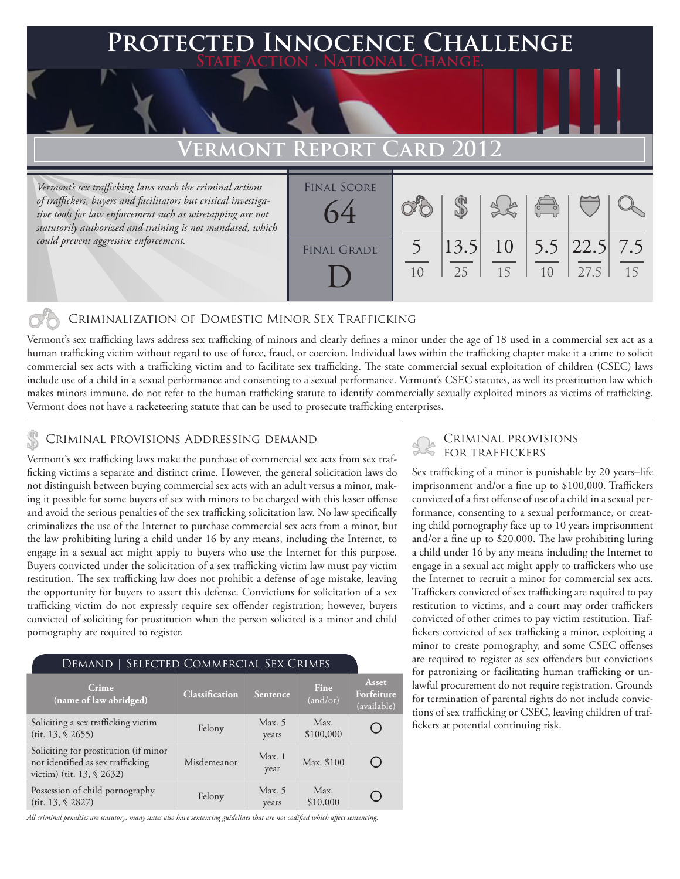# 'ed Innocence Challenge **State Action . National Change. Vermont Report Card 2012**

*Vermont's sex trafficking laws reach the criminal actions of traffickers, buyers and facilitators but critical investigative tools for law enforcement such as wiretapping are not statutorily authorized and training is not mandated, which could prevent aggressive enforcement.*

| <b>FINAL SCORE</b><br>64 |                |    |    | $\begin{pmatrix} 1 & 1 \\ 0 & 0 \end{pmatrix}$ |      |    |
|--------------------------|----------------|----|----|------------------------------------------------|------|----|
| <b>FINAL GRADE</b>       | 1 <sub>0</sub> | 25 | 15 | 1 <sub>0</sub>                                 | 27.5 | 15 |

### Criminalization of Domestic Minor Sex Trafficking

Vermont's sex trafficking laws address sex trafficking of minors and clearly defines a minor under the age of 18 used in a commercial sex act as a human trafficking victim without regard to use of force, fraud, or coercion. Individual laws within the trafficking chapter make it a crime to solicit commercial sex acts with a trafficking victim and to facilitate sex trafficking. The state commercial sexual exploitation of children (CSEC) laws include use of a child in a sexual performance and consenting to a sexual performance. Vermont's CSEC statutes, as well its prostitution law which makes minors immune, do not refer to the human trafficking statute to identify commercially sexually exploited minors as victims of trafficking. Vermont does not have a racketeering statute that can be used to prosecute trafficking enterprises.

### CRIMINAL PROVISIONS ADDRESSING DEMAND

Vermont's sex trafficking laws make the purchase of commercial sex acts from sex trafficking victims a separate and distinct crime. However, the general solicitation laws do not distinguish between buying commercial sex acts with an adult versus a minor, making it possible for some buyers of sex with minors to be charged with this lesser offense and avoid the serious penalties of the sex trafficking solicitation law. No law specifically criminalizes the use of the Internet to purchase commercial sex acts from a minor, but the law prohibiting luring a child under 16 by any means, including the Internet, to engage in a sexual act might apply to buyers who use the Internet for this purpose. Buyers convicted under the solicitation of a sex trafficking victim law must pay victim restitution. The sex trafficking law does not prohibit a defense of age mistake, leaving the opportunity for buyers to assert this defense. Convictions for solicitation of a sex trafficking victim do not expressly require sex offender registration; however, buyers convicted of soliciting for prostitution when the person solicited is a minor and child pornography are required to register.

| DEMAND   SELECTED COMMERCIAL SEX CRIMES                                                                   |                       |                 |                   |                                    |  |  |  |  |
|-----------------------------------------------------------------------------------------------------------|-----------------------|-----------------|-------------------|------------------------------------|--|--|--|--|
| Crime<br>(name of law abridged)                                                                           | <b>Classification</b> | <b>Sentence</b> | Fine<br>(and/or)  | Asset<br>Forfeiture<br>(available) |  |  |  |  |
| Soliciting a sex trafficking victim<br>(tit. 13, § 2655)                                                  | Felony                | Max. 5<br>years | Max.<br>\$100,000 |                                    |  |  |  |  |
| Soliciting for prostitution (if minor<br>not identified as sex trafficking<br>victim) (tit. $13, $2632$ ) | Misdemeanor           | Max.1<br>year   | Max. \$100        |                                    |  |  |  |  |
| Possession of child pornography<br>(tit. 13, \$2827)                                                      | Felony                | Max. 5<br>years | Max.<br>\$10,000  |                                    |  |  |  |  |

*All criminal penalties are statutory; many states also have sentencing guidelines that are not codified which affect sentencing.* 

## Criminal provisions

Sex trafficking of a minor is punishable by 20 years–life imprisonment and/or a fine up to \$100,000. Traffickers convicted of a first offense of use of a child in a sexual performance, consenting to a sexual performance, or creating child pornography face up to 10 years imprisonment and/or a fine up to \$20,000. The law prohibiting luring a child under 16 by any means including the Internet to engage in a sexual act might apply to traffickers who use the Internet to recruit a minor for commercial sex acts. Traffickers convicted of sex trafficking are required to pay restitution to victims, and a court may order traffickers convicted of other crimes to pay victim restitution. Traffickers convicted of sex trafficking a minor, exploiting a minor to create pornography, and some CSEC offenses are required to register as sex offenders but convictions for patronizing or facilitating human trafficking or unlawful procurement do not require registration. Grounds for termination of parental rights do not include convictions of sex trafficking or CSEC, leaving children of traffickers at potential continuing risk.